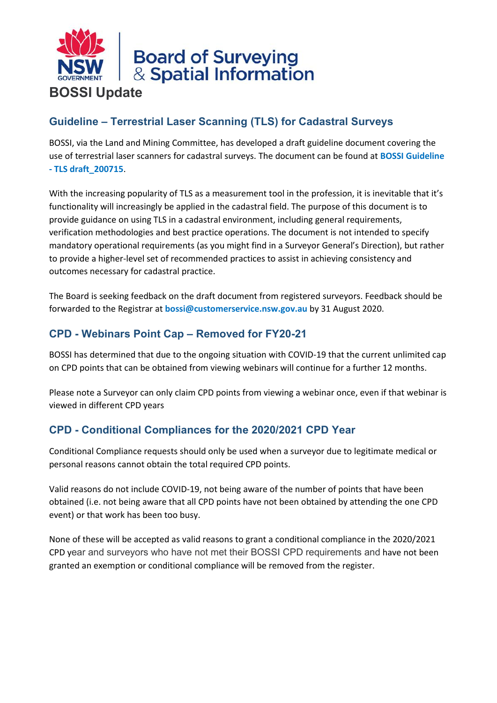

## **Guideline – Terrestrial Laser Scanning (TLS) for Cadastral Surveys**

BOSSI, via the Land and Mining Committee, has developed a draft guideline document covering the use of terrestrial laser scanners for cadastral surveys. The document can be found at **[BOSSI Guideline](https://clicktime.symantec.com/38E1ZZYTcUCTqzmZ4311HHM7Vc?u=https%3A%2F%2Fboardofsurveyingandspatialinformation.cmail19.com%2Ft%2Ft-l-phklkkt-ejhlduljy-r%2F)  - [TLS draft\\_200715](https://clicktime.symantec.com/38E1ZZYTcUCTqzmZ4311HHM7Vc?u=https%3A%2F%2Fboardofsurveyingandspatialinformation.cmail19.com%2Ft%2Ft-l-phklkkt-ejhlduljy-r%2F)**.

With the increasing popularity of TLS as a measurement tool in the profession, it is inevitable that it's functionality will increasingly be applied in the cadastral field. The purpose of this document is to provide guidance on using TLS in a cadastral environment, including general requirements, verification methodologies and best practice operations. The document is not intended to specify mandatory operational requirements (as you might find in a Surveyor General's Direction), but rather to provide a higher-level set of recommended practices to assist in achieving consistency and outcomes necessary for cadastral practice.

The Board is seeking feedback on the draft document from registered surveyors. Feedback should be forwarded to the Registrar at **[bossi@customerservice.nsw.gov.au](mailto:bossi@customerservice.nsw.gov.au)** by 31 August 2020.

### **CPD - Webinars Point Cap – Removed for FY20-21**

BOSSI has determined that due to the ongoing situation with COVID-19 that the current unlimited cap on CPD points that can be obtained from viewing webinars will continue for a further 12 months.

Please note a Surveyor can only claim CPD points from viewing a webinar once, even if that webinar is viewed in different CPD years

# **CPD - Conditional Compliances for the 2020/2021 CPD Year**

Conditional Compliance requests should only be used when a surveyor due to legitimate medical or personal reasons cannot obtain the total required CPD points.

Valid reasons do not include COVID-19, not being aware of the number of points that have been obtained (i.e. not being aware that all CPD points have not been obtained by attending the one CPD event) or that work has been too busy.

None of these will be accepted as valid reasons to grant a conditional compliance in the 2020/2021 CPD year and surveyors who have not met their BOSSI CPD requirements and have not been granted an exemption or conditional compliance will be removed from the register.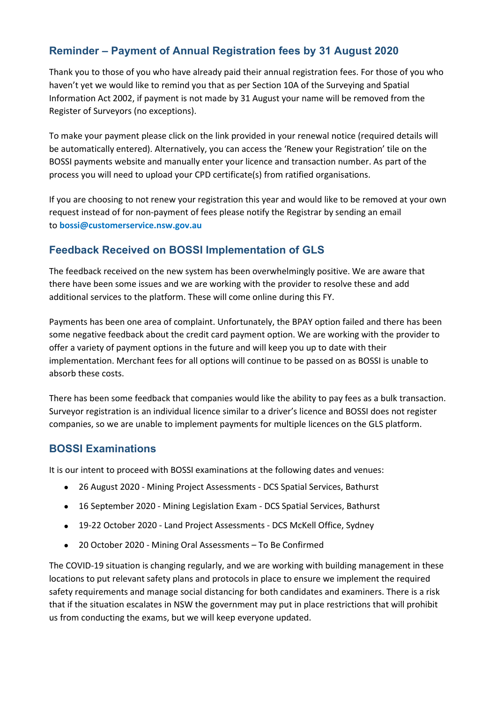## **Reminder – Payment of Annual Registration fees by 31 August 2020**

Thank you to those of you who have already paid their annual registration fees. For those of you who haven't yet we would like to remind you that as per Section 10A of the Surveying and Spatial Information Act 2002, if payment is not made by 31 August your name will be removed from the Register of Surveyors (no exceptions).

To make your payment please click on the link provided in your renewal notice (required details will be automatically entered). Alternatively, you can access the 'Renew your Registration' tile on the BOSSI payments website and manually enter your licence and transaction number. As part of the process you will need to upload your CPD certificate(s) from ratified organisations.

If you are choosing to not renew your registration this year and would like to be removed at your own request instead of for non-payment of fees please notify the Registrar by sending an email to **[bossi@customerservice.nsw.gov.au](mailto:bossi@customerservice.nsw.gov.au)**

#### **Feedback Received on BOSSI Implementation of GLS**

The feedback received on the new system has been overwhelmingly positive. We are aware that there have been some issues and we are working with the provider to resolve these and add additional services to the platform. These will come online during this FY.

Payments has been one area of complaint. Unfortunately, the BPAY option failed and there has been some negative feedback about the credit card payment option. We are working with the provider to offer a variety of payment options in the future and will keep you up to date with their implementation. Merchant fees for all options will continue to be passed on as BOSSI is unable to absorb these costs.

There has been some feedback that companies would like the ability to pay fees as a bulk transaction. Surveyor registration is an individual licence similar to a driver's licence and BOSSI does not register companies, so we are unable to implement payments for multiple licences on the GLS platform.

#### **BOSSI Examinations**

It is our intent to proceed with BOSSI examinations at the following dates and venues:

- 26 August 2020 Mining Project Assessments DCS Spatial Services, Bathurst
- 16 September 2020 Mining Legislation Exam DCS Spatial Services, Bathurst
- 19-22 October 2020 Land Project Assessments DCS McKell Office, Sydney
- 20 October 2020 Mining Oral Assessments To Be Confirmed

The COVID-19 situation is changing regularly, and we are working with building management in these locations to put relevant safety plans and protocols in place to ensure we implement the required safety requirements and manage social distancing for both candidates and examiners. There is a risk that if the situation escalates in NSW the government may put in place restrictions that will prohibit us from conducting the exams, but we will keep everyone updated.